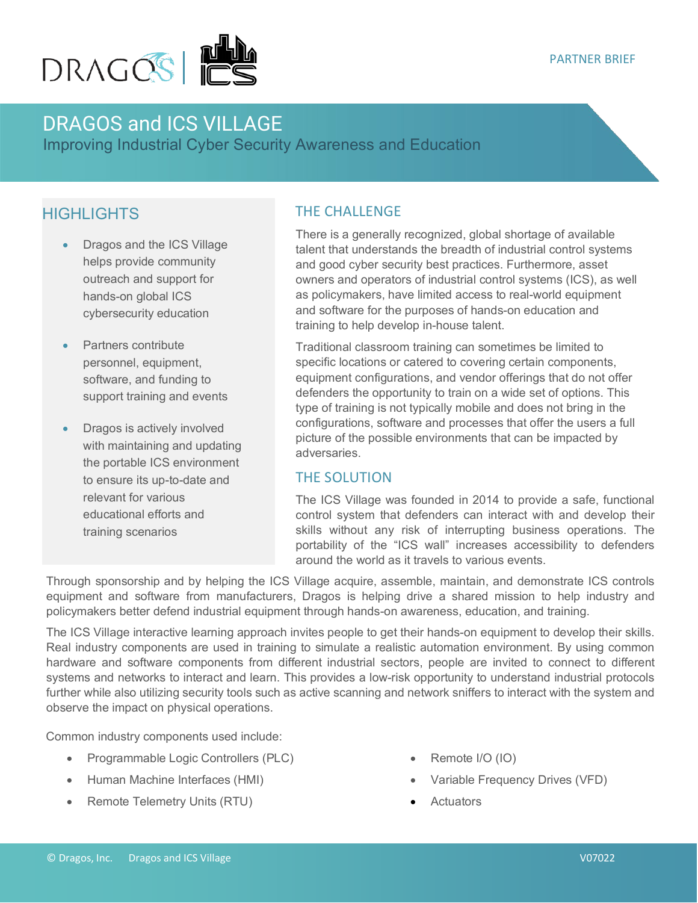

# DRAGOS and ICS VILLAGE

Improving Industrial Cyber Security Awareness and Education

## **HIGHLIGHTS**

- Dragos and the ICS Village helps provide community outreach and support for hands-on global ICS cybersecurity education
- Partners contribute personnel, equipment, software, and funding to support training and events
- Dragos is actively involved with maintaining and updating the portable ICS environment to ensure its up-to-date and relevant for various educational efforts and training scenarios

#### THE CHALLENGE

There is a generally recognized, global shortage of available talent that understands the breadth of industrial control systems and good cyber security best practices. Furthermore, asset owners and operators of industrial control systems (ICS), as well as policymakers, have limited access to real-world equipment and software for the purposes of hands-on education and training to help develop in-house talent.

Traditional classroom training can sometimes be limited to specific locations or catered to covering certain components, equipment configurations, and vendor offerings that do not offer defenders the opportunity to train on a wide set of options. This type of training is not typically mobile and does not bring in the configurations, software and processes that offer the users a full picture of the possible environments that can be impacted by adversaries.

#### THE SOLUTION

The ICS Village was founded in 2014 to provide a safe, functional control system that defenders can interact with and develop their skills without any risk of interrupting business operations. The portability of the "ICS wall" increases accessibility to defenders around the world as it travels to various events.

Through sponsorship and by helping the ICS Village acquire, assemble, maintain, and demonstrate ICS controls equipment and software from manufacturers, Dragos is helping drive a shared mission to help industry and policymakers better defend industrial equipment through hands-on awareness, education, and training.

The ICS Village interactive learning approach invites people to get their hands-on equipment to develop their skills. Real industry components are used in training to simulate a realistic automation environment. By using common hardware and software components from different industrial sectors, people are invited to connect to different systems and networks to interact and learn. This provides a low-risk opportunity to understand industrial protocols further while also utilizing security tools such as active scanning and network sniffers to interact with the system and observe the impact on physical operations.

Common industry components used include:

- Programmable Logic Controllers (PLC)
- Human Machine Interfaces (HMI)
- Remote Telemetry Units (RTU)
- Remote I/O (IO)
- Variable Frequency Drives (VFD)
- **Actuators**